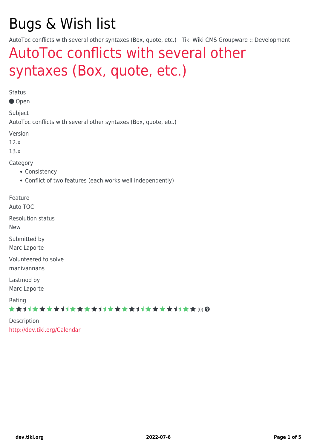# Bugs & Wish list

AutoToc conflicts with several other syntaxes (Box, quote, etc.) | Tiki Wiki CMS Groupware :: Development

# [AutoToc conflicts with several other](https://dev.tiki.org/item4849-AutoToc-conflicts-with-several-other-syntaxes-Box-quote-etc) [syntaxes \(Box, quote, etc.\)](https://dev.tiki.org/item4849-AutoToc-conflicts-with-several-other-syntaxes-Box-quote-etc)

Status

Open

Subject

AutoToc conflicts with several other syntaxes (Box, quote, etc.)

Version

12.x

13.x

Category

- Consistency
- Conflict of two features (each works well independently)

Feature

Auto TOC

Resolution status

New

Submitted by Marc Laporte

Volunteered to solve manivannans

Lastmod by Marc Laporte

Rating

★★→★★★★→★★★★★→★★★★★★★★★★★★★★ (0) @

Description <http://dev.tiki.org/Calendar>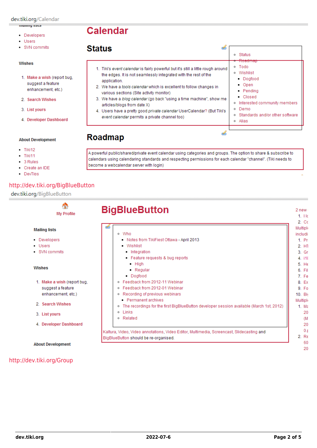#### manniy nətə

- Developers
- Users
- · SVN commits

#### Wishes

- 1. Make a wish (report bug, suggest a feature enhancement, etc.)
- 2. Search Wishes
- 3. List yours
- 4. Developer Dashboard

#### **About Development**

- $-$  Tiki12
- $-$  Tiki11
- 3 Rules
- Create an IDE
- DevTips

#### http://dev.tiki.org/BigBlueButton

dev.tiki.org/BigBlueButton

| <b>Status</b><br>œ                                                                                                                                                                                                                                                                                                                                                                                                                                                                                                                           | Status<br>۰                                                                                                                                                                                             |
|----------------------------------------------------------------------------------------------------------------------------------------------------------------------------------------------------------------------------------------------------------------------------------------------------------------------------------------------------------------------------------------------------------------------------------------------------------------------------------------------------------------------------------------------|---------------------------------------------------------------------------------------------------------------------------------------------------------------------------------------------------------|
| 1. Tiki's event calendar is fairly powerful but it's still a little rough around<br>the edges. It is not seamlessly integrated with the rest of the<br>application.<br>2. We have a <i>tools calendar</i> which is excellent to follow changes in<br>various sections (Site activity monitor)<br>3. We have a <i>blog calendar</i> (go back "using a time machine", show me<br>articles/blogs from date X)<br>4. Users have a pretty good <i>private calendar</i> UserCalendar? (But Tiki's<br>event calendar permits a private channel too) | <b>INVOLUTION</b><br>Todo<br>۰<br>Wishlist<br>۰<br>• Dogfood<br>▪ Open<br>• Pending<br>• Closed<br>Interested community members<br>۰<br>Demo<br>۰<br>Standards and/or other software<br>۰<br>Alias<br>۰ |
|                                                                                                                                                                                                                                                                                                                                                                                                                                                                                                                                              |                                                                                                                                                                                                         |

### **Roadmap**

**Calendar** 

A powerful public/shared/private event calendar using categories and groups. The option to share & subscribe to calendars using calendaring standards and respecting permissions for each calendar "channel". (Tiki needs to become a webcalendar server with login)

| <b>My Profile</b>           | <b>BigBlueButton</b>                                                                       | 1.11c<br>$2 \,$ Cc |
|-----------------------------|--------------------------------------------------------------------------------------------|--------------------|
| <b>Mailing lists</b>        | <b>RES</b><br>o Who                                                                        | Multiph<br>includi |
| • Developers                | Notes from TikiFiest Ottawa - April 2013                                                   | 1. Pr.             |
| • Users                     | $\blacksquare$ Wishlist                                                                    | 2. H1              |
| • SVN commits               | <b>Integration</b>                                                                         | $3.$ Gr            |
|                             | Feature requests & bug reports                                                             | 4 i18              |
|                             | $-High$                                                                                    | 5. H6              |
| <b>Wishes</b>               | • Regular                                                                                  | 6. Fil             |
|                             | • Dogfood                                                                                  | 7. Fe              |
| 1. Make a wish (report bug. | ○ Feedback from 2012-11 Webinar                                                            | 8 Ex               |
| suggest a feature           | ○ Feedback from 2012-01 Webinar                                                            | 9. F <sub>0</sub>  |
| enhancement, etc.)          | ○ Recording of previous webinars                                                           | 10. Bio            |
|                             | - Permanent archives                                                                       | Multiph            |
| 2. Search Wishes            | . The recordings for the first BigBlueButton developer session available (March 1st, 2012) | 1. M <sub>8</sub>  |
| 3. List yours               | o Links                                                                                    |                    |
|                             | o Related                                                                                  |                    |
| 4. Developer Dashboard      |                                                                                            |                    |
|                             | Kaltura, Video, Video annotations, Video Editor, Multimedia, Screencast, Slidecasting and  |                    |
|                             | BigBlueButton should be re-organised.                                                      | 2. R6              |

### http://dev.tiki.org/Group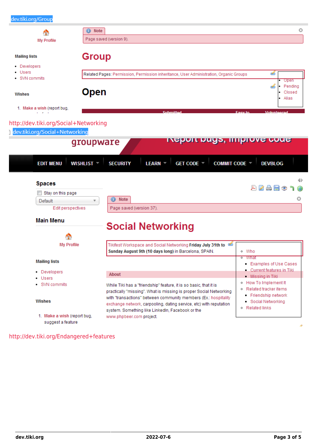| A<br><b>My Profile</b>                           | ⊙<br>Note<br>Page saved (version 9).                                                                                                  |                                                    |
|--------------------------------------------------|---------------------------------------------------------------------------------------------------------------------------------------|----------------------------------------------------|
| <b>Mailing lists</b>                             | <b>Group</b>                                                                                                                          |                                                    |
| • Developers                                     |                                                                                                                                       |                                                    |
| • Users<br>• SVN commits                         | Related Pages: Permission, Permission inheritance, User Administration, Organic Groups                                                | త                                                  |
|                                                  |                                                                                                                                       | Open<br>Pending<br>کی                              |
| <b>Wishes</b>                                    | <b>Open</b>                                                                                                                           | Closed<br>Alias                                    |
| 1. Make a wish (report bug,<br><b>Contractor</b> | <b>Submittad</b>                                                                                                                      | <b>Facy to</b><br><b><i><u>Unluntaarad</u></i></b> |
| http://dev.tiki.org/Social+Networking            |                                                                                                                                       |                                                    |
| dev.tiki.org/Social+Networking                   |                                                                                                                                       |                                                    |
|                                                  | <u>ivebort pugs, improve code</u><br>groupware                                                                                        |                                                    |
|                                                  |                                                                                                                                       |                                                    |
|                                                  |                                                                                                                                       |                                                    |
|                                                  |                                                                                                                                       |                                                    |
| <b>EDIT MENU</b>                                 | GET CODE ▼<br><b>COMMIT CODE</b><br>WISHLIST <b>*</b><br><b>SECURITY</b><br><b>LEARN</b>                                              | <b>DEVBLOG</b>                                     |
|                                                  |                                                                                                                                       |                                                    |
| <b>Spaces</b>                                    |                                                                                                                                       | ZAHO<br>A                                          |
| Stay on this page<br>Default                     | <b>Note</b><br>◉                                                                                                                      | O                                                  |
| Edit perspectives                                | Page saved (version 37).                                                                                                              |                                                    |
|                                                  |                                                                                                                                       |                                                    |
| <b>Main Menu</b>                                 |                                                                                                                                       |                                                    |
|                                                  | <b>Social Networking</b>                                                                                                              |                                                    |
| <b>My Profile</b>                                | Tikifest Workspace and Social Networking Friday July 31th to                                                                          |                                                    |
|                                                  | Sunday August 9th (10 days long) in Barcelona, SPAIN.                                                                                 | ∘ Who                                              |
| <b>Mailing lists</b>                             |                                                                                                                                       | • What                                             |
| • Developers                                     |                                                                                                                                       | Examples of Use Cases<br>Current features in Tiki  |
| • Users                                          | About                                                                                                                                 | Missing in Tiki                                    |
| • SVN commits                                    | While Tiki has a "friendship" feature, it is so basic, that it is                                                                     | . How To Implement It                              |
|                                                  | practically "missing". What is missing is proper Social Networking                                                                    | ● Related tracker items<br>Friendship network      |
| Wishes                                           | with "transactions" between community members (Ex.: hospitality<br>exchange network, carpooling, dating service, etc) with reputation | Social Networking                                  |
| 1. Make a wish (report bug,                      | system. Something like LinkedIn, Facebook or the<br>www.phpbeer.com project.                                                          | ◦ Related links                                    |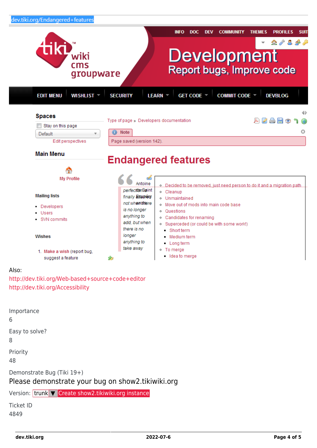

#### 1. Make a wish (report bug, suggest a feature

# Idea to merge

#### Also:

<http://dev.tiki.org/Web-based+source+code+editor> <http://dev.tiki.org/Accessibility>

Importance 6 Easy to solve? 8 Priority 48 Demonstrate Bug (Tiki 19+) Please demonstrate your bug on show2.tikiwiki.org Version: trunk ▼ [Create show2.tikiwiki.org instance](#page--1-0) Ticket ID

ż

4849